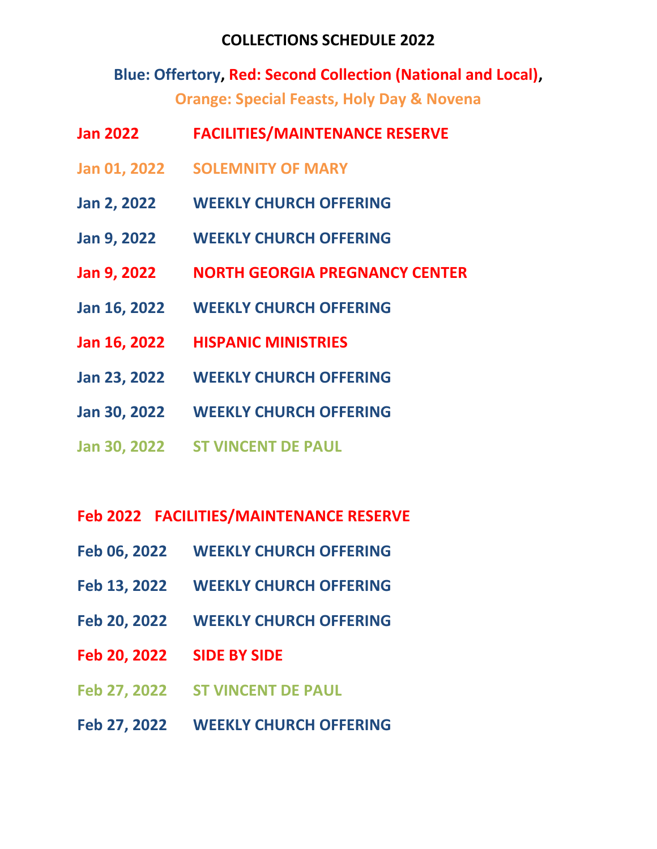# **COLLECTIONS SCHEDULE 2022**

**Blue: Offertory, Red: Second Collection (National and Local), Orange: Special Feasts, Holy Day & Novena**

- **Jan 2022 FACILITIES/MAINTENANCE RESERVE Jan 01, 2022 SOLEMNITY OF MARY Jan 2, 2022 WEEKLY CHURCH OFFERING Jan 9, 2022 WEEKLY CHURCH OFFERING Jan 9, 2022 NORTH GEORGIA PREGNANCY CENTER Jan 16, 2022 WEEKLY CHURCH OFFERING Jan 16, 2022 HISPANIC MINISTRIES Jan 23, 2022 WEEKLY CHURCH OFFERING Jan 30, 2022 WEEKLY CHURCH OFFERING**
- **Jan 30, 2022 ST VINCENT DE PAUL**

**Feb 2022 FACILITIES/MAINTENANCE RESERVE**

- **Feb 06, 2022 WEEKLY CHURCH OFFERING**
- **Feb 13, 2022 WEEKLY CHURCH OFFERING**
- **Feb 20, 2022 WEEKLY CHURCH OFFERING**
- **Feb 20, 2022 SIDE BY SIDE**
- **Feb 27, 2022 ST VINCENT DE PAUL**
- **Feb 27, 2022 WEEKLY CHURCH OFFERING**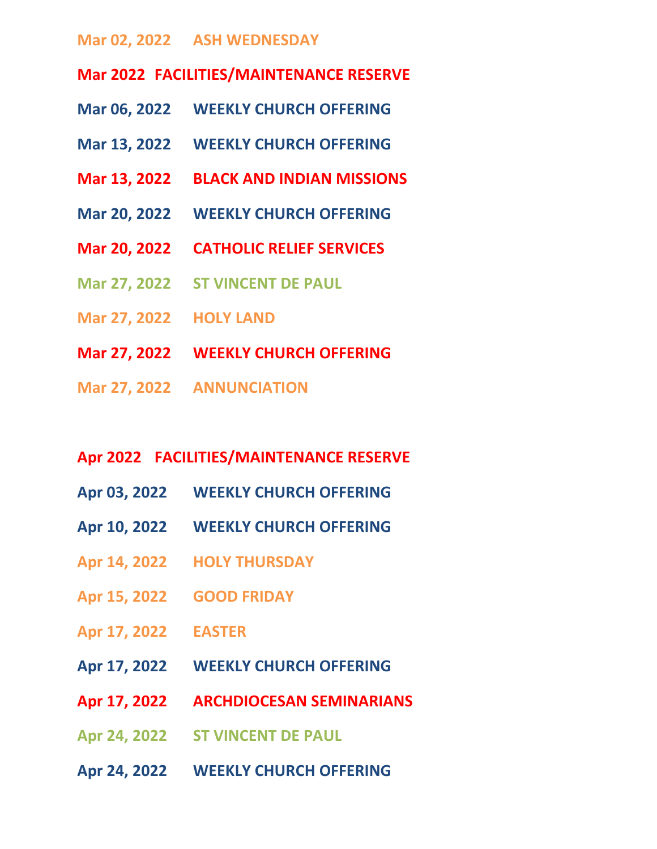# **Mar 02, 2022 ASH WEDNESDAY**

- **Mar 2022 FACILITIES/MAINTENANCE RESERVE**
- **Mar 06, 2022 WEEKLY CHURCH OFFERING**
- **Mar 13, 2022 WEEKLY CHURCH OFFERING**
- **Mar 13, 2022 BLACK AND INDIAN MISSIONS**
- **Mar 20, 2022 WEEKLY CHURCH OFFERING**
- **Mar 20, 2022 CATHOLIC RELIEF SERVICES**
- **Mar 27, 2022 ST VINCENT DE PAUL**
- **Mar 27, 2022 HOLY LAND**
- **Mar 27, 2022 WEEKLY CHURCH OFFERING**
- **Mar 27, 2022 ANNUNCIATION**

### **Apr 2022 FACILITIES/MAINTENANCE RESERVE**

- **Apr 03, 2022 WEEKLY CHURCH OFFERING**
- **Apr 10, 2022 WEEKLY CHURCH OFFERING**
- **Apr 14, 2022 HOLY THURSDAY**
- **Apr 15, 2022 GOOD FRIDAY**
- **Apr 17, 2022 EASTER**
- **Apr 17, 2022 WEEKLY CHURCH OFFERING**
- **Apr 17, 2022 ARCHDIOCESAN SEMINARIANS**
- **Apr 24, 2022 ST VINCENT DE PAUL**
- **Apr 24, 2022 WEEKLY CHURCH OFFERING**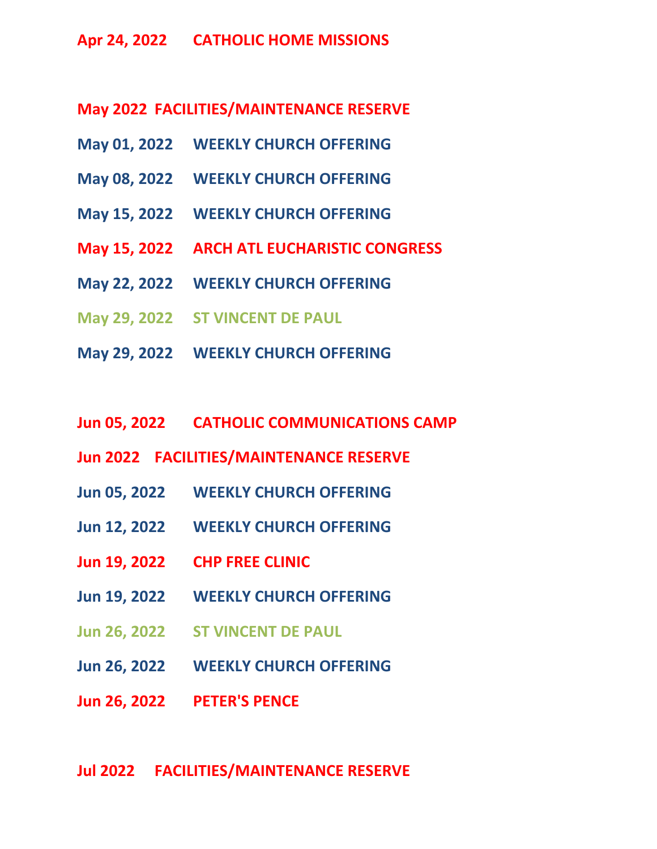## **Apr 24, 2022 CATHOLIC HOME MISSIONS**

**May 2022 FACILITIES/MAINTENANCE RESERVE**

- **May 01, 2022 WEEKLY CHURCH OFFERING**
- **May 08, 2022 WEEKLY CHURCH OFFERING**
- **May 15, 2022 WEEKLY CHURCH OFFERING**
- **May 15, 2022 ARCH ATL EUCHARISTIC CONGRESS**
- **May 22, 2022 WEEKLY CHURCH OFFERING**
- **May 29, 2022 ST VINCENT DE PAUL**
- **May 29, 2022 WEEKLY CHURCH OFFERING**
- **Jun 05, 2022 CATHOLIC COMMUNICATIONS CAMP**
- **Jun 2022 FACILITIES/MAINTENANCE RESERVE**
- **Jun 05, 2022 WEEKLY CHURCH OFFERING**
- **Jun 12, 2022 WEEKLY CHURCH OFFERING**
- **Jun 19, 2022 CHP FREE CLINIC**
- **Jun 19, 2022 WEEKLY CHURCH OFFERING**
- **Jun 26, 2022 ST VINCENT DE PAUL**
- **Jun 26, 2022 WEEKLY CHURCH OFFERING**
- **Jun 26, 2022 PETER'S PENCE**

**Jul 2022 FACILITIES/MAINTENANCE RESERVE**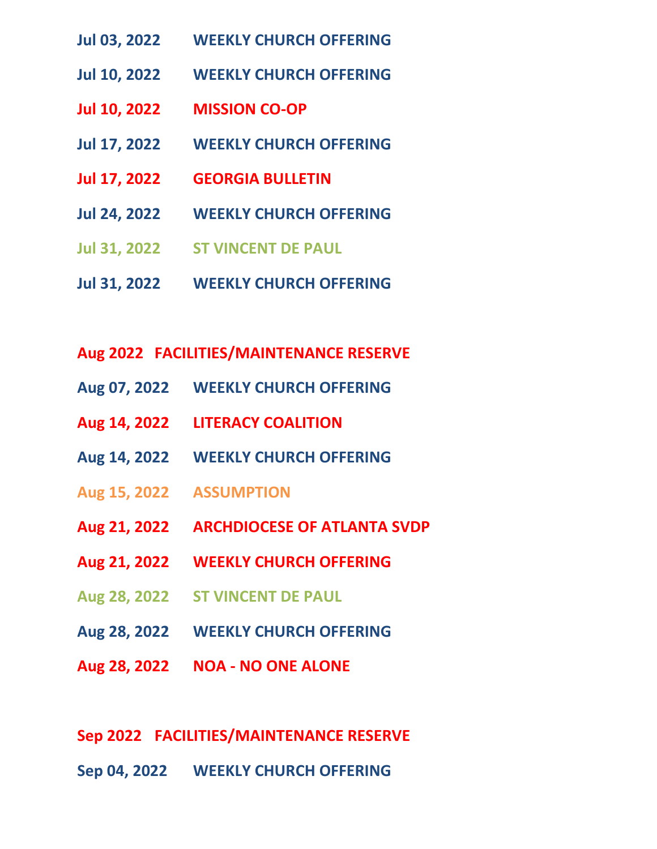- **Jul 03, 2022 WEEKLY CHURCH OFFERING**
- **Jul 10, 2022 WEEKLY CHURCH OFFERING**
- **Jul 10, 2022 MISSION CO-OP**
- **Jul 17, 2022 WEEKLY CHURCH OFFERING**
- **Jul 17, 2022 GEORGIA BULLETIN**
- **Jul 24, 2022 WEEKLY CHURCH OFFERING**
- **Jul 31, 2022 ST VINCENT DE PAUL**
- **Jul 31, 2022 WEEKLY CHURCH OFFERING**

**Aug 2022 FACILITIES/MAINTENANCE RESERVE**

- **Aug 07, 2022 WEEKLY CHURCH OFFERING**
- **Aug 14, 2022 LITERACY COALITION**
- **Aug 14, 2022 WEEKLY CHURCH OFFERING**
- **Aug 15, 2022 ASSUMPTION**
- **Aug 21, 2022 ARCHDIOCESE OF ATLANTA SVDP**
- **Aug 21, 2022 WEEKLY CHURCH OFFERING**
- **Aug 28, 2022 ST VINCENT DE PAUL**
- **Aug 28, 2022 WEEKLY CHURCH OFFERING**
- **Aug 28, 2022 NOA - NO ONE ALONE**

#### **Sep 2022 FACILITIES/MAINTENANCE RESERVE**

**Sep 04, 2022 WEEKLY CHURCH OFFERING**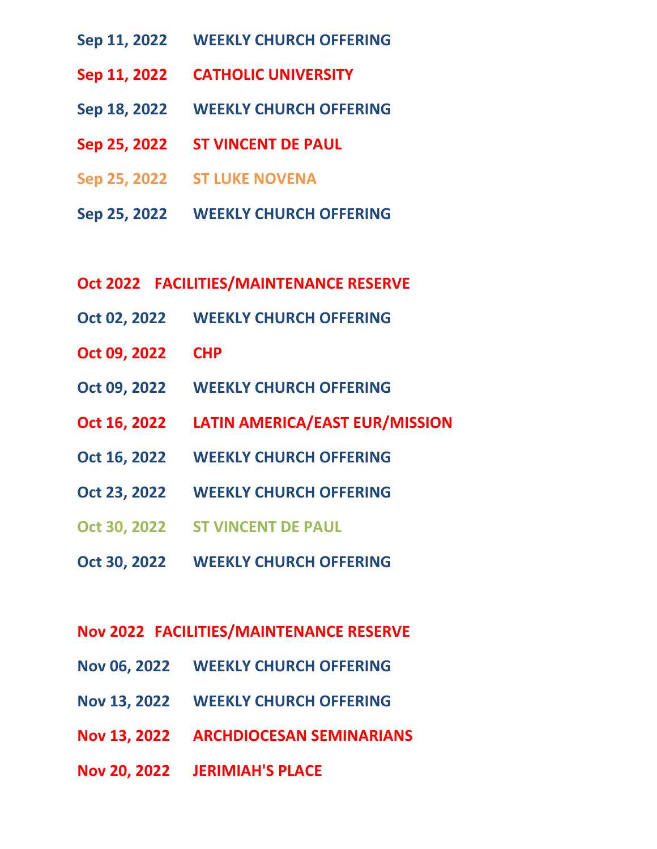- **Sep 11, 2022 WEEKLY CHURCH OFFERING**
- **Sep 11, 2022 CATHOLIC UNIVERSITY**
- **Sep 18, 2022 WEEKLY CHURCH OFFERING**
- **Sep 25, 2022 ST VINCENT DE PAUL**
- **Sep 25, 2022 ST LUKE NOVENA**
- **Sep 25, 2022 WEEKLY CHURCH OFFERING**
- **Oct 2022 FACILITIES/MAINTENANCE RESERVE**
- **Oct 02, 2022 WEEKLY CHURCH OFFERING**
- **Oct 09, 2022 CHP**
- **Oct 09, 2022 WEEKLY CHURCH OFFERING**
- **Oct 16, 2022 LATIN AMERICA/EAST EUR/MISSION**
- **Oct 16, 2022 WEEKLY CHURCH OFFERING**
- **Oct 23, 2022 WEEKLY CHURCH OFFERING**
- **Oct 30, 2022 ST VINCENT DE PAUL**
- **Oct 30, 2022 WEEKLY CHURCH OFFERING**

### **Nov 2022 FACILITIES/MAINTENANCE RESERVE**

- **Nov 06, 2022 WEEKLY CHURCH OFFERING**
- **Nov 13, 2022 WEEKLY CHURCH OFFERING**
- **Nov 13, 2022 ARCHDIOCESAN SEMINARIANS**
- **Nov 20, 2022 JERIMIAH'S PLACE**